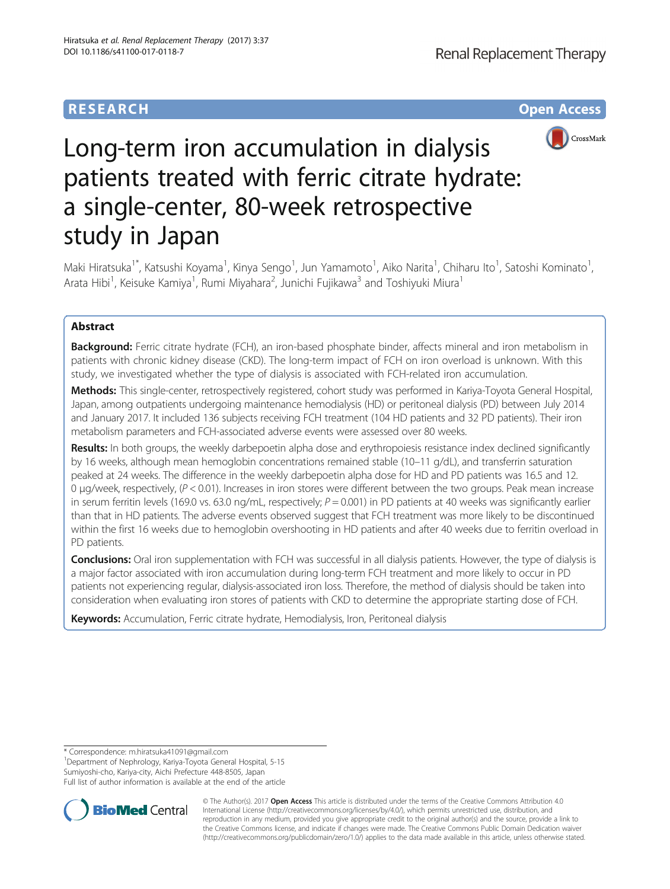## **RESEARCH CHE Open Access**



# Long-term iron accumulation in dialysis patients treated with ferric citrate hydrate: a single-center, 80-week retrospective study in Japan

Maki Hiratsuka<sup>1\*</sup>, Katsushi Koyama<sup>1</sup>, Kinya Sengo<sup>1</sup>, Jun Yamamoto<sup>1</sup>, Aiko Narita<sup>1</sup>, Chiharu Ito<sup>1</sup>, Satoshi Kominato<sup>1</sup> , Arata Hibi<sup>1</sup>, Keisuke Kamiya<sup>1</sup>, Rumi Miyahara<sup>2</sup>, Junichi Fujikawa<sup>3</sup> and Toshiyuki Miura<sup>1</sup>

## Abstract

Background: Ferric citrate hydrate (FCH), an iron-based phosphate binder, affects mineral and iron metabolism in patients with chronic kidney disease (CKD). The long-term impact of FCH on iron overload is unknown. With this study, we investigated whether the type of dialysis is associated with FCH-related iron accumulation.

Methods: This single-center, retrospectively registered, cohort study was performed in Kariya-Toyota General Hospital, Japan, among outpatients undergoing maintenance hemodialysis (HD) or peritoneal dialysis (PD) between July 2014 and January 2017. It included 136 subjects receiving FCH treatment (104 HD patients and 32 PD patients). Their iron metabolism parameters and FCH-associated adverse events were assessed over 80 weeks.

Results: In both groups, the weekly darbepoetin alpha dose and erythropoiesis resistance index declined significantly by 16 weeks, although mean hemoglobin concentrations remained stable (10–11 g/dL), and transferrin saturation peaked at 24 weeks. The difference in the weekly darbepoetin alpha dose for HD and PD patients was 16.5 and 12. 0 μg/week, respectively,  $(P < 0.01)$ . Increases in iron stores were different between the two groups. Peak mean increase in serum ferritin levels (169.0 vs. 63.0 ng/mL, respectively;  $P = 0.001$ ) in PD patients at 40 weeks was significantly earlier than that in HD patients. The adverse events observed suggest that FCH treatment was more likely to be discontinued within the first 16 weeks due to hemoglobin overshooting in HD patients and after 40 weeks due to ferritin overload in PD patients.

Conclusions: Oral iron supplementation with FCH was successful in all dialysis patients. However, the type of dialysis is a major factor associated with iron accumulation during long-term FCH treatment and more likely to occur in PD patients not experiencing regular, dialysis-associated iron loss. Therefore, the method of dialysis should be taken into consideration when evaluating iron stores of patients with CKD to determine the appropriate starting dose of FCH.

Keywords: Accumulation, Ferric citrate hydrate, Hemodialysis, Iron, Peritoneal dialysis

\* Correspondence: [m.hiratsuka41091@gmail.com](mailto:m.hiratsuka41091@gmail.com) <sup>1</sup>

<sup>1</sup>Department of Nephrology, Kariya-Toyota General Hospital, 5-15 Sumiyoshi-cho, Kariya-city, Aichi Prefecture 448-8505, Japan

Full list of author information is available at the end of the article



© The Author(s). 2017 **Open Access** This article is distributed under the terms of the Creative Commons Attribution 4.0 International License [\(http://creativecommons.org/licenses/by/4.0/](http://creativecommons.org/licenses/by/4.0/)), which permits unrestricted use, distribution, and reproduction in any medium, provided you give appropriate credit to the original author(s) and the source, provide a link to the Creative Commons license, and indicate if changes were made. The Creative Commons Public Domain Dedication waiver [\(http://creativecommons.org/publicdomain/zero/1.0/](http://creativecommons.org/publicdomain/zero/1.0/)) applies to the data made available in this article, unless otherwise stated.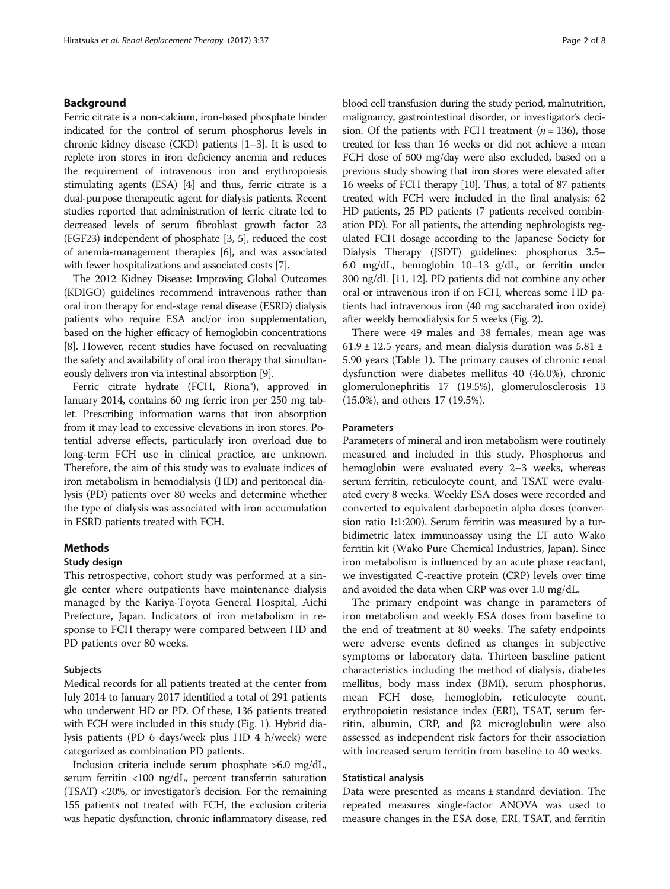## Background

Ferric citrate is a non-calcium, iron-based phosphate binder indicated for the control of serum phosphorus levels in chronic kidney disease (CKD) patients [\[1](#page-6-0)–[3\]](#page-6-0). It is used to replete iron stores in iron deficiency anemia and reduces the requirement of intravenous iron and erythropoiesis stimulating agents (ESA) [[4](#page-6-0)] and thus, ferric citrate is a dual-purpose therapeutic agent for dialysis patients. Recent studies reported that administration of ferric citrate led to decreased levels of serum fibroblast growth factor 23 (FGF23) independent of phosphate [[3](#page-6-0), [5](#page-6-0)], reduced the cost of anemia-management therapies [[6](#page-6-0)], and was associated with fewer hospitalizations and associated costs [[7](#page-6-0)].

The 2012 Kidney Disease: Improving Global Outcomes (KDIGO) guidelines recommend intravenous rather than oral iron therapy for end-stage renal disease (ESRD) dialysis patients who require ESA and/or iron supplementation, based on the higher efficacy of hemoglobin concentrations [[8](#page-6-0)]. However, recent studies have focused on reevaluating the safety and availability of oral iron therapy that simultaneously delivers iron via intestinal absorption [[9](#page-6-0)].

Ferric citrate hydrate (FCH, Riona®), approved in January 2014, contains 60 mg ferric iron per 250 mg tablet. Prescribing information warns that iron absorption from it may lead to excessive elevations in iron stores. Potential adverse effects, particularly iron overload due to long-term FCH use in clinical practice, are unknown. Therefore, the aim of this study was to evaluate indices of iron metabolism in hemodialysis (HD) and peritoneal dialysis (PD) patients over 80 weeks and determine whether the type of dialysis was associated with iron accumulation in ESRD patients treated with FCH.

## Methods

### Study design

This retrospective, cohort study was performed at a single center where outpatients have maintenance dialysis managed by the Kariya-Toyota General Hospital, Aichi Prefecture, Japan. Indicators of iron metabolism in response to FCH therapy were compared between HD and PD patients over 80 weeks.

#### Subjects

Medical records for all patients treated at the center from July 2014 to January 2017 identified a total of 291 patients who underwent HD or PD. Of these, 136 patients treated with FCH were included in this study (Fig. [1](#page-2-0)). Hybrid dialysis patients (PD 6 days/week plus HD 4 h/week) were categorized as combination PD patients.

Inclusion criteria include serum phosphate >6.0 mg/dL, serum ferritin <100 ng/dL, percent transferrin saturation (TSAT) <20%, or investigator's decision. For the remaining 155 patients not treated with FCH, the exclusion criteria was hepatic dysfunction, chronic inflammatory disease, red blood cell transfusion during the study period, malnutrition, malignancy, gastrointestinal disorder, or investigator's decision. Of the patients with FCH treatment  $(n = 136)$ , those treated for less than 16 weeks or did not achieve a mean FCH dose of 500 mg/day were also excluded, based on a previous study showing that iron stores were elevated after 16 weeks of FCH therapy [[10](#page-6-0)]. Thus, a total of 87 patients treated with FCH were included in the final analysis: 62 HD patients, 25 PD patients (7 patients received combination PD). For all patients, the attending nephrologists regulated FCH dosage according to the Japanese Society for Dialysis Therapy (JSDT) guidelines: phosphorus 3.5– 6.0 mg/dL, hemoglobin 10–13 g/dL, or ferritin under 300 ng/dL [\[11,](#page-6-0) [12](#page-7-0)]. PD patients did not combine any other oral or intravenous iron if on FCH, whereas some HD patients had intravenous iron (40 mg saccharated iron oxide) after weekly hemodialysis for 5 weeks (Fig. [2\)](#page-2-0).

There were 49 males and 38 females, mean age was 61.9  $\pm$  12.5 years, and mean dialysis duration was 5.81  $\pm$ 5.90 years (Table [1\)](#page-3-0). The primary causes of chronic renal dysfunction were diabetes mellitus 40 (46.0%), chronic glomerulonephritis 17 (19.5%), glomerulosclerosis 13 (15.0%), and others 17 (19.5%).

## Parameters

Parameters of mineral and iron metabolism were routinely measured and included in this study. Phosphorus and hemoglobin were evaluated every 2–3 weeks, whereas serum ferritin, reticulocyte count, and TSAT were evaluated every 8 weeks. Weekly ESA doses were recorded and converted to equivalent darbepoetin alpha doses (conversion ratio 1:1:200). Serum ferritin was measured by a turbidimetric latex immunoassay using the LT auto Wako ferritin kit (Wako Pure Chemical Industries, Japan). Since iron metabolism is influenced by an acute phase reactant, we investigated C-reactive protein (CRP) levels over time and avoided the data when CRP was over 1.0 mg/dL.

The primary endpoint was change in parameters of iron metabolism and weekly ESA doses from baseline to the end of treatment at 80 weeks. The safety endpoints were adverse events defined as changes in subjective symptoms or laboratory data. Thirteen baseline patient characteristics including the method of dialysis, diabetes mellitus, body mass index (BMI), serum phosphorus, mean FCH dose, hemoglobin, reticulocyte count, erythropoietin resistance index (ERI), TSAT, serum ferritin, albumin, CRP, and β2 microglobulin were also assessed as independent risk factors for their association with increased serum ferritin from baseline to 40 weeks.

## Statistical analysis

Data were presented as means ± standard deviation. The repeated measures single-factor ANOVA was used to measure changes in the ESA dose, ERI, TSAT, and ferritin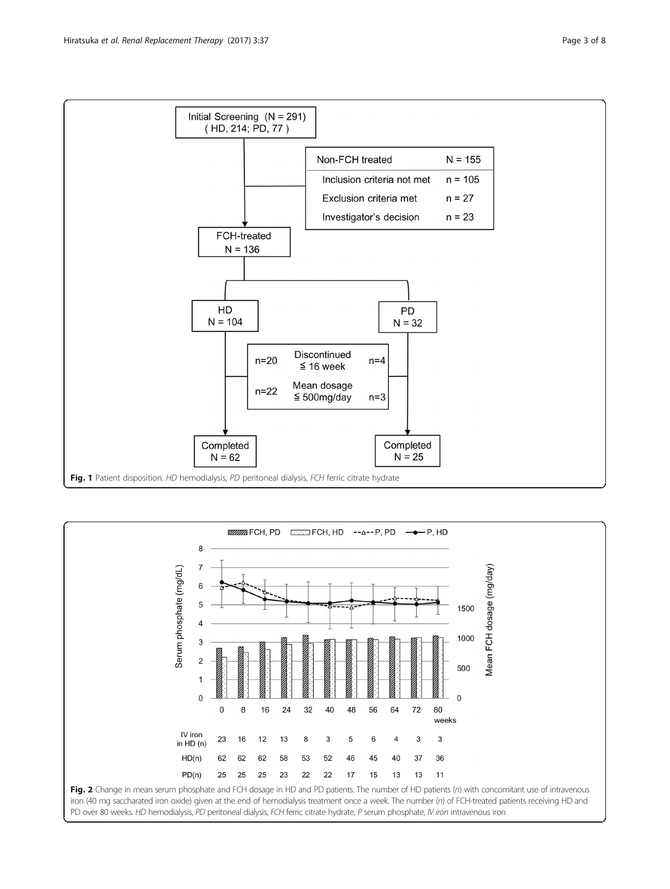

<span id="page-2-0"></span>



PD over 80 weeks. HD hemodialysis, PD peritoneal dialysis, FCH ferric citrate hydrate, P serum phosphate, IV iron intravenous iron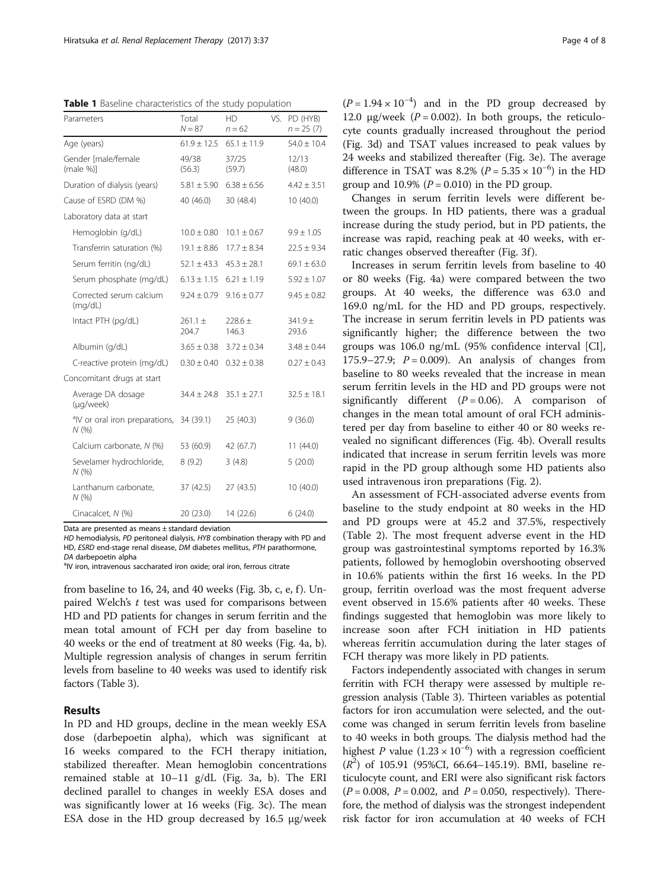<span id="page-3-0"></span>Table 1 Baseline characteristics of the study population

| Parameters                                        | Total<br>$N = 87$    | НD<br>$n = 62$     | VS. | PD (HYB)<br>$n = 25(7)$ |
|---------------------------------------------------|----------------------|--------------------|-----|-------------------------|
| Age (years)                                       | $61.9 \pm 12.5$      | $65.1 \pm 11.9$    |     | $54.0 \pm 10.4$         |
| Gender [male/female<br>(male %)                   | 49/38<br>(56.3)      | 37/25<br>(59.7)    |     | 12/13<br>(48.0)         |
| Duration of dialysis (years)                      | $5.81 \pm 5.90$      | $6.38 \pm 6.56$    |     | $4.42 \pm 3.51$         |
| Cause of ESRD (DM %)                              | 40 (46.0)            | 30 (48.4)          |     | 10(40.0)                |
| Laboratory data at start                          |                      |                    |     |                         |
| Hemoglobin (g/dL)                                 | $10.0 \pm 0.80$      | $10.1 \pm 0.67$    |     | $9.9 \pm 1.05$          |
| Transferrin saturation (%)                        | $19.1 \pm 8.86$      | $17.7 \pm 8.34$    |     | $22.5 \pm 9.34$         |
| Serum ferritin (ng/dL)                            | $52.1 \pm 43.3$      | $45.3 \pm 28.1$    |     | $69.1 \pm 63.0$         |
| Serum phosphate (mg/dL)                           | $6.13 \pm 1.15$      | $6.21 \pm 1.19$    |     | $5.92 \pm 1.07$         |
| Corrected serum calcium<br>(mq/dL)                | $9.24 \pm 0.79$      | $9.16 + 0.77$      |     | $9.45 + 0.82$           |
| Intact PTH (pg/dL)                                | $261.1 \pm$<br>204.7 | $228.6 +$<br>146.3 |     | $341.9 +$<br>293.6      |
| Albumin (g/dL)                                    | $3.65 \pm 0.38$      | $3.72 \pm 0.34$    |     | $3.48 \pm 0.44$         |
| C-reactive protein (mg/dL)                        | $0.30 \pm 0.40$      | $0.32 \pm 0.38$    |     | $0.27 \pm 0.43$         |
| Concomitant drugs at start                        |                      |                    |     |                         |
| Average DA dosage<br>(µg/week)                    | $34.4 \pm 24.8$      | $35.1 \pm 27.1$    |     | $32.5 \pm 18.1$         |
| <sup>a</sup> IV or oral iron preparations,<br>N(% | 34 (39.1)            | 25(40.3)           |     | 9(36.0)                 |
| Calcium carbonate, N (%)                          | 53 (60.9)            | 42 (67.7)          |     | 11(44.0)                |
| Sevelamer hydrochloride,<br>N(%                   | 8(9.2)               | 3(4.8)             |     | 5(20.0)                 |
| Lanthanum carbonate,<br>N(%                       | 37 (42.5)            | 27 (43.5)          |     | 10(40.0)                |
| Cinacalcet, N (%)                                 | 20 (23.0)            | 14 (22.6)          |     | 6(24.0)                 |

Data are presented as means ± standard deviation

HD hemodialysis, PD peritoneal dialysis, HYB combination therapy with PD and HD, ESRD end-stage renal disease, DM diabetes mellitus, PTH parathormone, DA darbepoetin alpha <sup>a</sup>

<sup>a</sup>IV iron, intravenous saccharated iron oxide; oral iron, ferrous citrate

from baseline to 16, 24, and 40 weeks (Fig. [3b, c, e, f](#page-4-0)). Unpaired Welch's  $t$  test was used for comparisons between HD and PD patients for changes in serum ferritin and the mean total amount of FCH per day from baseline to 40 weeks or the end of treatment at 80 weeks (Fig. [4a, b](#page-4-0)). Multiple regression analysis of changes in serum ferritin levels from baseline to 40 weeks was used to identify risk factors (Table [3](#page-5-0)).

## Results

In PD and HD groups, decline in the mean weekly ESA dose (darbepoetin alpha), which was significant at 16 weeks compared to the FCH therapy initiation, stabilized thereafter. Mean hemoglobin concentrations remained stable at 10–11 g/dL (Fig. [3a, b](#page-4-0)). The ERI declined parallel to changes in weekly ESA doses and was significantly lower at 16 weeks (Fig. [3c](#page-4-0)). The mean ESA dose in the HD group decreased by 16.5 μg/week

 $(P = 1.94 \times 10^{-4})$  and in the PD group decreased by 12.0 μg/week ( $P = 0.002$ ). In both groups, the reticulocyte counts gradually increased throughout the period (Fig. [3d\)](#page-4-0) and TSAT values increased to peak values by 24 weeks and stabilized thereafter (Fig. [3e\)](#page-4-0). The average difference in TSAT was 8.2% ( $P = 5.35 \times 10^{-6}$ ) in the HD group and 10.9% ( $P = 0.010$ ) in the PD group.

Changes in serum ferritin levels were different between the groups. In HD patients, there was a gradual increase during the study period, but in PD patients, the increase was rapid, reaching peak at 40 weeks, with erratic changes observed thereafter (Fig. [3f](#page-4-0) ).

Increases in serum ferritin levels from baseline to 40 or 80 weeks (Fig. [4a](#page-4-0)) were compared between the two groups. At 40 weeks, the difference was 63.0 and 169.0 ng/mL for the HD and PD groups, respectively. The increase in serum ferritin levels in PD patients was significantly higher; the difference between the two groups was 106.0 ng/mL (95% confidence interval [CI], 175.9–27.9;  $P = 0.009$ ). An analysis of changes from baseline to 80 weeks revealed that the increase in mean serum ferritin levels in the HD and PD groups were not significantly different  $(P = 0.06)$ . A comparison of changes in the mean total amount of oral FCH administered per day from baseline to either 40 or 80 weeks revealed no significant differences (Fig. [4b](#page-4-0)). Overall results indicated that increase in serum ferritin levels was more rapid in the PD group although some HD patients also used intravenous iron preparations (Fig. [2](#page-2-0)).

An assessment of FCH-associated adverse events from baseline to the study endpoint at 80 weeks in the HD and PD groups were at 45.2 and 37.5%, respectively (Table [2](#page-5-0)). The most frequent adverse event in the HD group was gastrointestinal symptoms reported by 16.3% patients, followed by hemoglobin overshooting observed in 10.6% patients within the first 16 weeks. In the PD group, ferritin overload was the most frequent adverse event observed in 15.6% patients after 40 weeks. These findings suggested that hemoglobin was more likely to increase soon after FCH initiation in HD patients whereas ferritin accumulation during the later stages of FCH therapy was more likely in PD patients.

Factors independently associated with changes in serum ferritin with FCH therapy were assessed by multiple regression analysis (Table [3\)](#page-5-0). Thirteen variables as potential factors for iron accumulation were selected, and the outcome was changed in serum ferritin levels from baseline to 40 weeks in both groups. The dialysis method had the highest P value  $(1.23 \times 10^{-6})$  with a regression coefficient  $(R<sup>2</sup>)$  of 105.91 (95%CI, 66.64-145.19). BMI, baseline reticulocyte count, and ERI were also significant risk factors  $(P = 0.008, P = 0.002, and P = 0.050, respectively).$  Therefore, the method of dialysis was the strongest independent risk factor for iron accumulation at 40 weeks of FCH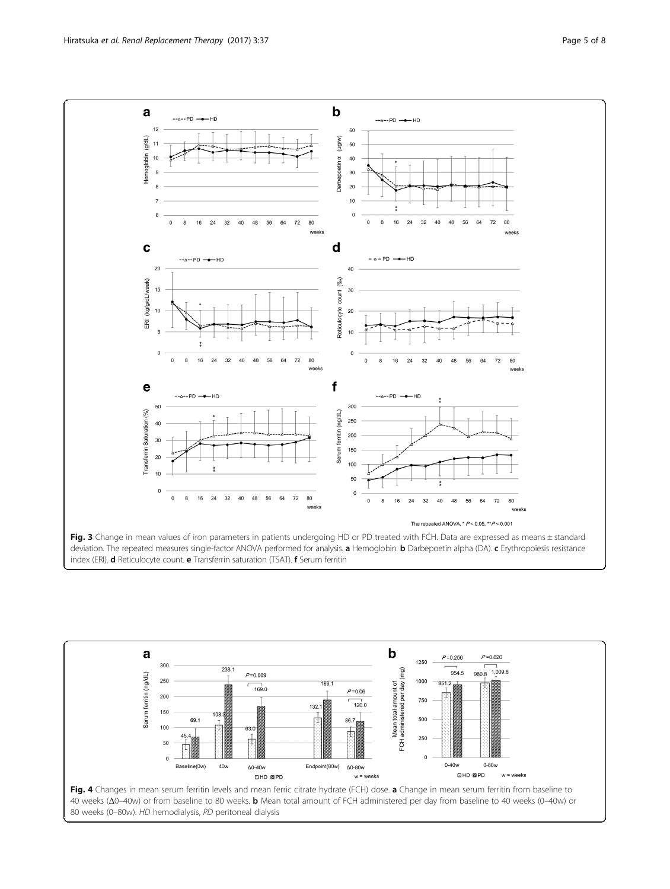<span id="page-4-0"></span>

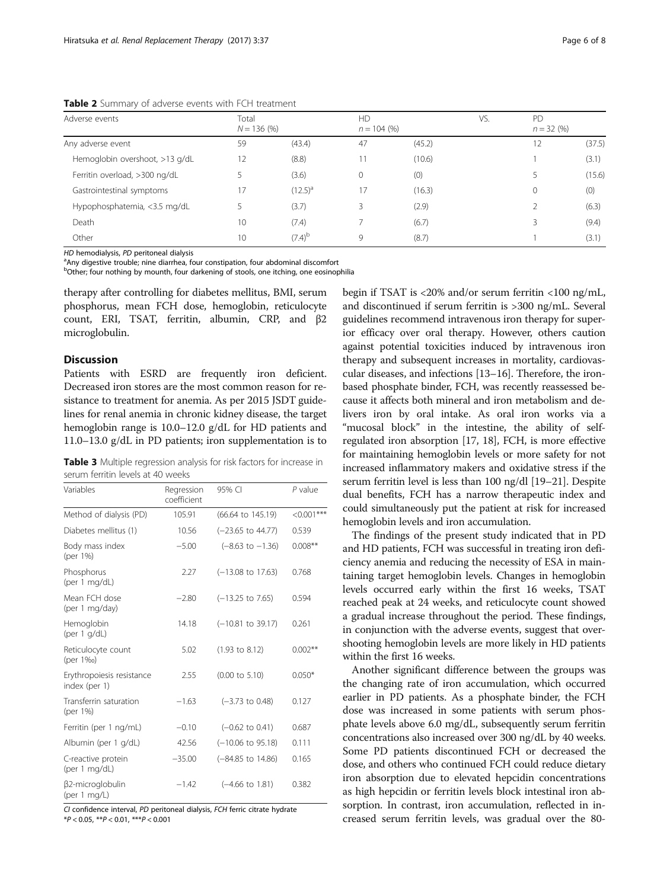<span id="page-5-0"></span>Table 2 Summary of adverse events with FCH treatment

| Adverse events                 | Total<br>$N = 136 (%)$ |              | HD<br>$n = 104$ (%) |        | VS. | P <sub>D</sub> | $n = 32(96)$ |  |
|--------------------------------|------------------------|--------------|---------------------|--------|-----|----------------|--------------|--|
| Any adverse event              | 59                     | (43.4)       | 47                  | (45.2) |     | 12             | (37.5)       |  |
| Hemoglobin overshoot, >13 g/dL | 12                     | (8.8)        | 11                  | (10.6) |     |                | (3.1)        |  |
| Ferritin overload, >300 ng/dL  |                        | (3.6)        | 0                   | (0)    |     |                | (15.6)       |  |
| Gastrointestinal symptoms      | 17                     | $(12.5)^{a}$ | 17                  | (16.3) |     | 0              | (0)          |  |
| Hypophosphatemia, <3.5 mg/dL   |                        | (3.7)        | 3                   | (2.9)  |     |                | (6.3)        |  |
| Death                          | 10                     | (7.4)        |                     | (6.7)  |     |                | (9.4)        |  |
| Other                          | 10                     | $(7.4)^{b}$  | 9                   | (8.7)  |     |                | (3.1)        |  |

HD hemodialysis, PD peritoneal dialysis

<sup>a</sup>Any digestive trouble; nine diarrhea, four constipation, four abdominal discomfort

<sup>b</sup>Other; four nothing by mounth, four darkening of stools, one itching, one eosinophilia

therapy after controlling for diabetes mellitus, BMI, serum phosphorus, mean FCH dose, hemoglobin, reticulocyte count, ERI, TSAT, ferritin, albumin, CRP, and β2 microglobulin.

## Discussion

Patients with ESRD are frequently iron deficient. Decreased iron stores are the most common reason for resistance to treatment for anemia. As per 2015 JSDT guidelines for renal anemia in chronic kidney disease, the target hemoglobin range is 10.0–12.0 g/dL for HD patients and 11.0–13.0 g/dL in PD patients; iron supplementation is to

**Table 3** Multiple regression analysis for risk factors for increase in serum ferritin levels at 40 weeks

| Variables                                  | Regression<br>coefficient | 95% CI                       | $P$ value   |
|--------------------------------------------|---------------------------|------------------------------|-------------|
| Method of dialysis (PD)                    | 105.91                    | (66.64 to 145.19)            | $<0.001***$ |
| Diabetes mellitus (1)                      | 10.56                     | $(-23.65$ to $44.77)$        | 0.539       |
| Body mass index<br>(per 1%)                | $-5.00$                   | $(-8.63 \text{ to } -1.36)$  | $0.008**$   |
| Phosphorus<br>(per 1 mg/dL)                | 2.27                      | $(-13.08 \text{ to } 17.63)$ | 0.768       |
| Mean FCH dose<br>(per 1 mg/day)            | $-2.80$                   | $(-13.25 \text{ to } 7.65)$  | 0.594       |
| Hemoglobin<br>(per $1$ g/dL)               | 14.18                     | $(-10.81$ to 39.17)          | 0.261       |
| Reticulocyte count<br>(per 1%o)            | 5.02                      | $(1.93 \text{ to } 8.12)$    | $0.002**$   |
| Erythropoiesis resistance<br>index (per 1) | 2.55                      | $(0.00 \text{ to } 5.10)$    | $0.050*$    |
| Transferrin saturation<br>(per 1%)         | $-1.63$                   | $(-3.73 \text{ to } 0.48)$   | 0.127       |
| Ferritin (per 1 ng/mL)                     | $-0.10$                   | $(-0.62 \text{ to } 0.41)$   | 0.687       |
| Albumin (per 1 g/dL)                       | 42.56                     | $(-10.06 \text{ to } 95.18)$ | 0.111       |
| C-reactive protein<br>(per 1 mg/dL)        | $-35.00$                  | (-84.85 to 14.86)            | 0.165       |
| β2-microglobulin<br>(per 1 $mq/L$ )        | $-1.42$                   | $(-4.66 \text{ to } 1.81)$   | 0.382       |

CI confidence interval, PD peritoneal dialysis, FCH ferric citrate hydrate \*P < 0.05, \*\*P < 0.01, \*\*\*P < 0.001

begin if TSAT is <20% and/or serum ferritin <100 ng/mL, and discontinued if serum ferritin is >300 ng/mL. Several guidelines recommend intravenous iron therapy for superior efficacy over oral therapy. However, others caution against potential toxicities induced by intravenous iron therapy and subsequent increases in mortality, cardiovascular diseases, and infections [\[13](#page-7-0)–[16](#page-7-0)]. Therefore, the ironbased phosphate binder, FCH, was recently reassessed because it affects both mineral and iron metabolism and delivers iron by oral intake. As oral iron works via a "mucosal block" in the intestine, the ability of selfregulated iron absorption [\[17, 18\]](#page-7-0), FCH, is more effective for maintaining hemoglobin levels or more safety for not increased inflammatory makers and oxidative stress if the serum ferritin level is less than 100 ng/dl [\[19](#page-7-0)–[21](#page-7-0)]. Despite dual benefits, FCH has a narrow therapeutic index and could simultaneously put the patient at risk for increased hemoglobin levels and iron accumulation.

The findings of the present study indicated that in PD and HD patients, FCH was successful in treating iron deficiency anemia and reducing the necessity of ESA in maintaining target hemoglobin levels. Changes in hemoglobin levels occurred early within the first 16 weeks, TSAT reached peak at 24 weeks, and reticulocyte count showed a gradual increase throughout the period. These findings, in conjunction with the adverse events, suggest that overshooting hemoglobin levels are more likely in HD patients within the first 16 weeks.

Another significant difference between the groups was the changing rate of iron accumulation, which occurred earlier in PD patients. As a phosphate binder, the FCH dose was increased in some patients with serum phosphate levels above 6.0 mg/dL, subsequently serum ferritin concentrations also increased over 300 ng/dL by 40 weeks. Some PD patients discontinued FCH or decreased the dose, and others who continued FCH could reduce dietary iron absorption due to elevated hepcidin concentrations as high hepcidin or ferritin levels block intestinal iron absorption. In contrast, iron accumulation, reflected in increased serum ferritin levels, was gradual over the 80-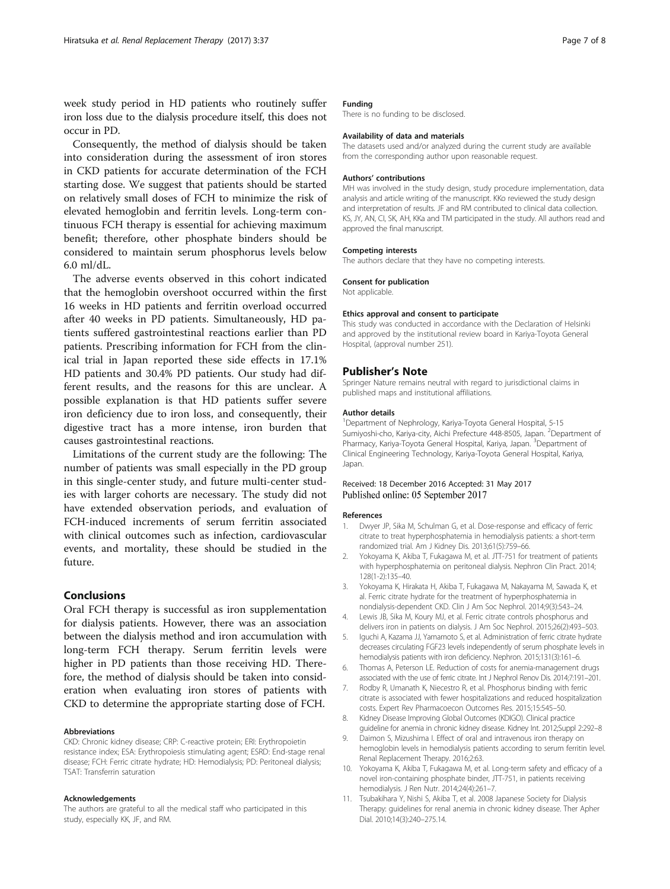<span id="page-6-0"></span>week study period in HD patients who routinely suffer iron loss due to the dialysis procedure itself, this does not occur in PD.

Consequently, the method of dialysis should be taken into consideration during the assessment of iron stores in CKD patients for accurate determination of the FCH starting dose. We suggest that patients should be started on relatively small doses of FCH to minimize the risk of elevated hemoglobin and ferritin levels. Long-term continuous FCH therapy is essential for achieving maximum benefit; therefore, other phosphate binders should be considered to maintain serum phosphorus levels below 6.0 ml/dL.

The adverse events observed in this cohort indicated that the hemoglobin overshoot occurred within the first 16 weeks in HD patients and ferritin overload occurred after 40 weeks in PD patients. Simultaneously, HD patients suffered gastrointestinal reactions earlier than PD patients. Prescribing information for FCH from the clinical trial in Japan reported these side effects in 17.1% HD patients and 30.4% PD patients. Our study had different results, and the reasons for this are unclear. A possible explanation is that HD patients suffer severe iron deficiency due to iron loss, and consequently, their digestive tract has a more intense, iron burden that causes gastrointestinal reactions.

Limitations of the current study are the following: The number of patients was small especially in the PD group in this single-center study, and future multi-center studies with larger cohorts are necessary. The study did not have extended observation periods, and evaluation of FCH-induced increments of serum ferritin associated with clinical outcomes such as infection, cardiovascular events, and mortality, these should be studied in the future.

## Conclusions

Oral FCH therapy is successful as iron supplementation for dialysis patients. However, there was an association between the dialysis method and iron accumulation with long-term FCH therapy. Serum ferritin levels were higher in PD patients than those receiving HD. Therefore, the method of dialysis should be taken into consideration when evaluating iron stores of patients with CKD to determine the appropriate starting dose of FCH.

#### Abbreviations

CKD: Chronic kidney disease; CRP: C-reactive protein; ERI: Erythropoietin resistance index; ESA: Erythropoiesis stimulating agent; ESRD: End-stage renal disease; FCH: Ferric citrate hydrate; HD: Hemodialysis; PD: Peritoneal dialysis; TSAT: Transferrin saturation

#### Acknowledgements

The authors are grateful to all the medical staff who participated in this study, especially KK, JF, and RM.

## Funding

There is no funding to be disclosed.

#### Availability of data and materials

The datasets used and/or analyzed during the current study are available from the corresponding author upon reasonable request.

#### Authors' contributions

MH was involved in the study design, study procedure implementation, data analysis and article writing of the manuscript. KKo reviewed the study design and interpretation of results. JF and RM contributed to clinical data collection. KS, JY, AN, CI, SK, AH, KKa and TM participated in the study. All authors read and approved the final manuscript.

#### Competing interests

The authors declare that they have no competing interests.

#### Consent for publication

Not applicable.

#### Ethics approval and consent to participate

This study was conducted in accordance with the Declaration of Helsinki and approved by the institutional review board in Kariya-Toyota General Hospital, (approval number 251).

#### Publisher's Note

Springer Nature remains neutral with regard to jurisdictional claims in published maps and institutional affiliations.

#### Author details

<sup>1</sup>Department of Nephrology, Kariya-Toyota General Hospital, 5-15 Sumiyoshi-cho, Kariya-city, Aichi Prefecture 448-8505, Japan. <sup>2</sup>Department of Pharmacy, Kariya-Toyota General Hospital, Kariya, Japan. <sup>3</sup>Department of Clinical Engineering Technology, Kariya-Toyota General Hospital, Kariya, Japan.

## Received: 18 December 2016 Accepted: 31 May 2017 Published online: 05 September 2017

#### References

- 1. Dwyer JP, Sika M, Schulman G, et al. Dose-response and efficacy of ferric citrate to treat hyperphosphatemia in hemodialysis patients: a short-term randomized trial. Am J Kidney Dis. 2013;61(5):759–66.
- 2. Yokoyama K, Akiba T, Fukagawa M, et al. JTT-751 for treatment of patients with hyperphosphatemia on peritoneal dialysis. Nephron Clin Pract. 2014; 128(1-2):135–40.
- 3. Yokoyama K, Hirakata H, Akiba T, Fukagawa M, Nakayama M, Sawada K, et al. Ferric citrate hydrate for the treatment of hyperphosphatemia in nondialysis-dependent CKD. Clin J Am Soc Nephrol. 2014;9(3):543–24.
- 4. Lewis JB, Sika M, Koury MJ, et al. Ferric citrate controls phosphorus and delivers iron in patients on dialysis. J Am Soc Nephrol. 2015;26(2):493–503.
- 5. Iguchi A, Kazama JJ, Yamamoto S, et al. Administration of ferric citrate hydrate decreases circulating FGF23 levels independently of serum phosphate levels in hemodialysis patients with iron deficiency. Nephron. 2015;131(3):161–6.
- 6. Thomas A, Peterson LE. Reduction of costs for anemia-management drugs associated with the use of ferric citrate. Int J Nephrol Renov Dis. 2014;7:191–201.
- 7. Rodby R, Umanath K, Niecestro R, et al. Phosphorus binding with ferric citrate is associated with fewer hospitalizations and reduced hospitalization costs. Expert Rev Pharmacoecon Outcomes Res. 2015;15:545–50.
- 8. Kidney Disease Improving Global Outcomes (KDIGO). Clinical practice guideline for anemia in chronic kidney disease. Kidney Int. 2012;Suppl 2:292–8
- 9. Daimon S, Mizushima I. Effect of oral and intravenous iron therapy on hemoglobin levels in hemodialysis patients according to serum ferritin level. Renal Replacement Therapy. 2016;2:63.
- 10. Yokoyama K, Akiba T, Fukagawa M, et al. Long-term safety and efficacy of a novel iron-containing phosphate binder, JTT-751, in patients receiving hemodialysis. J Ren Nutr. 2014;24(4):261–7.
- 11. Tsubakihara Y, Nishi S, Akiba T, et al. 2008 Japanese Society for Dialysis Therapy: guidelines for renal anemia in chronic kidney disease. Ther Apher Dial. 2010;14(3):240–275.14.